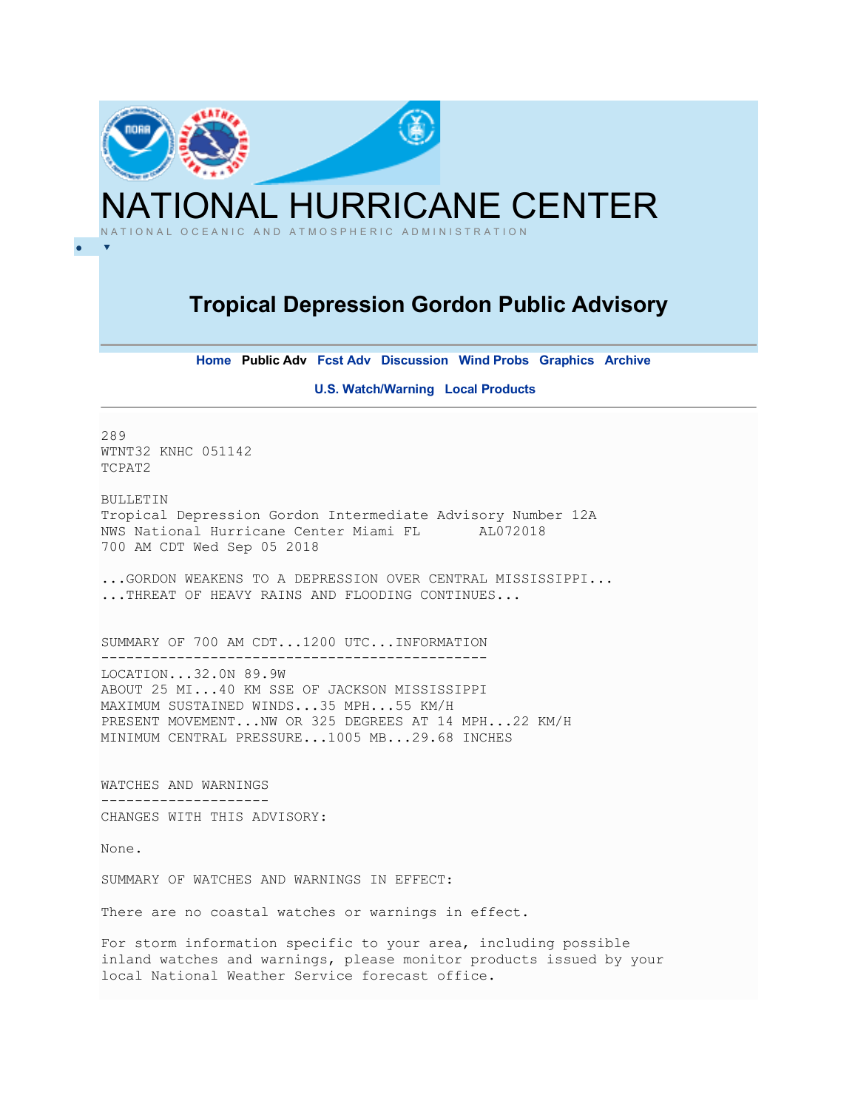

**Home Public Adv Fcst Adv Discussion Wind Probs Graphics Archive** 

**U.S. Watch/Warning Local Products** 

289 WTNT32 KNHC 051142 TCPAT2

BULLETIN Tropical Depression Gordon Intermediate Advisory Number 12A NWS National Hurricane Center Miami FL AL072018 700 AM CDT Wed Sep 05 2018

...GORDON WEAKENS TO A DEPRESSION OVER CENTRAL MISSISSIPPI... ...THREAT OF HEAVY RAINS AND FLOODING CONTINUES...

SUMMARY OF 700 AM CDT...1200 UTC...INFORMATION ---------------------------------------------- LOCATION...32.0N 89.9W ABOUT 25 MI...40 KM SSE OF JACKSON MISSISSIPPI MAXIMUM SUSTAINED WINDS...35 MPH...55 KM/H PRESENT MOVEMENT...NW OR 325 DEGREES AT 14 MPH...22 KM/H MINIMUM CENTRAL PRESSURE...1005 MB...29.68 INCHES

WATCHES AND WARNINGS -------------------- CHANGES WITH THIS ADVISORY:

None.

SUMMARY OF WATCHES AND WARNINGS IN EFFECT:

There are no coastal watches or warnings in effect.

For storm information specific to your area, including possible inland watches and warnings, please monitor products issued by your local National Weather Service forecast office.